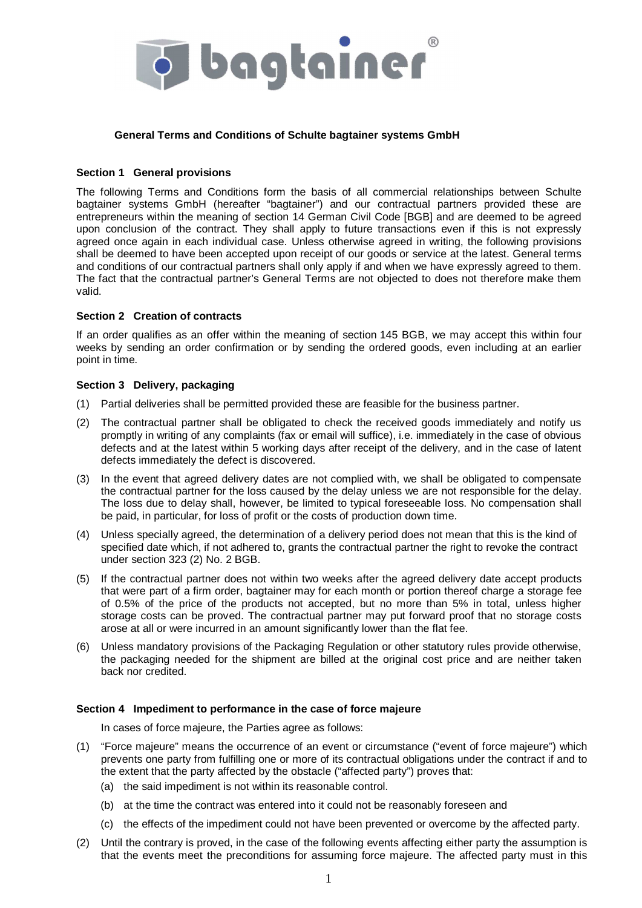

# **General Terms and Conditions of Schulte bagtainer systems GmbH**

### **Section 1 General provisions**

The following Terms and Conditions form the basis of all commercial relationships between Schulte bagtainer systems GmbH (hereafter "bagtainer") and our contractual partners provided these are entrepreneurs within the meaning of section 14 German Civil Code [BGB] and are deemed to be agreed upon conclusion of the contract. They shall apply to future transactions even if this is not expressly agreed once again in each individual case. Unless otherwise agreed in writing, the following provisions shall be deemed to have been accepted upon receipt of our goods or service at the latest. General terms and conditions of our contractual partners shall only apply if and when we have expressly agreed to them. The fact that the contractual partner's General Terms are not objected to does not therefore make them valid.

# **Section 2 Creation of contracts**

If an order qualifies as an offer within the meaning of section 145 BGB, we may accept this within four weeks by sending an order confirmation or by sending the ordered goods, even including at an earlier point in time.

### **Section 3 Delivery, packaging**

- (1) Partial deliveries shall be permitted provided these are feasible for the business partner.
- (2) The contractual partner shall be obligated to check the received goods immediately and notify us promptly in writing of any complaints (fax or email will suffice), i.e. immediately in the case of obvious defects and at the latest within 5 working days after receipt of the delivery, and in the case of latent defects immediately the defect is discovered.
- (3) In the event that agreed delivery dates are not complied with, we shall be obligated to compensate the contractual partner for the loss caused by the delay unless we are not responsible for the delay. The loss due to delay shall, however, be limited to typical foreseeable loss. No compensation shall be paid, in particular, for loss of profit or the costs of production down time.
- (4) Unless specially agreed, the determination of a delivery period does not mean that this is the kind of specified date which, if not adhered to, grants the contractual partner the right to revoke the contract under section 323 (2) No. 2 BGB.
- (5) If the contractual partner does not within two weeks after the agreed delivery date accept products that were part of a firm order, bagtainer may for each month or portion thereof charge a storage fee of 0.5% of the price of the products not accepted, but no more than 5% in total, unless higher storage costs can be proved. The contractual partner may put forward proof that no storage costs arose at all or were incurred in an amount significantly lower than the flat fee.
- (6) Unless mandatory provisions of the Packaging Regulation or other statutory rules provide otherwise, the packaging needed for the shipment are billed at the original cost price and are neither taken back nor credited.

# **Section 4 Impediment to performance in the case of force majeure**

In cases of force majeure, the Parties agree as follows:

- (1) "Force majeure" means the occurrence of an event or circumstance ("event of force majeure") which prevents one party from fulfilling one or more of its contractual obligations under the contract if and to the extent that the party affected by the obstacle ("affected party") proves that:
	- (a) the said impediment is not within its reasonable control.
	- (b) at the time the contract was entered into it could not be reasonably foreseen and
	- (c) the effects of the impediment could not have been prevented or overcome by the affected party.
- (2) Until the contrary is proved, in the case of the following events affecting either party the assumption is that the events meet the preconditions for assuming force majeure. The affected party must in this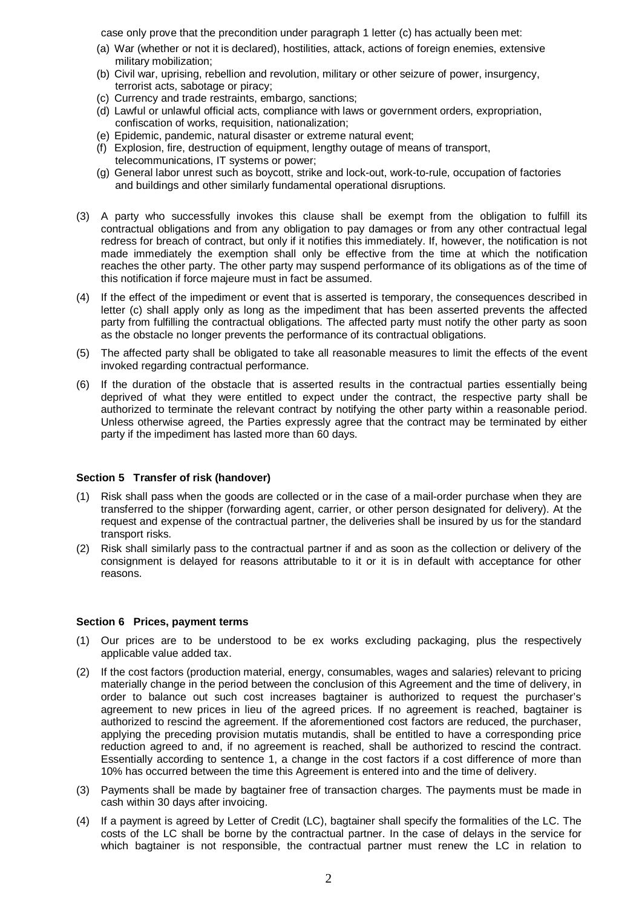case only prove that the precondition under paragraph 1 letter (c) has actually been met:

- (a) War (whether or not it is declared), hostilities, attack, actions of foreign enemies, extensive military mobilization;
- (b) Civil war, uprising, rebellion and revolution, military or other seizure of power, insurgency, terrorist acts, sabotage or piracy;
- (c) Currency and trade restraints, embargo, sanctions;
- (d) Lawful or unlawful official acts, compliance with laws or government orders, expropriation, confiscation of works, requisition, nationalization;
- (e) Epidemic, pandemic, natural disaster or extreme natural event;
- (f) Explosion, fire, destruction of equipment, lengthy outage of means of transport, telecommunications, IT systems or power;
- (g) General labor unrest such as boycott, strike and lock-out, work-to-rule, occupation of factories and buildings and other similarly fundamental operational disruptions.
- (3) A party who successfully invokes this clause shall be exempt from the obligation to fulfill its contractual obligations and from any obligation to pay damages or from any other contractual legal redress for breach of contract, but only if it notifies this immediately. If, however, the notification is not made immediately the exemption shall only be effective from the time at which the notification reaches the other party. The other party may suspend performance of its obligations as of the time of this notification if force majeure must in fact be assumed.
- (4) If the effect of the impediment or event that is asserted is temporary, the consequences described in letter (c) shall apply only as long as the impediment that has been asserted prevents the affected party from fulfilling the contractual obligations. The affected party must notify the other party as soon as the obstacle no longer prevents the performance of its contractual obligations.
- (5) The affected party shall be obligated to take all reasonable measures to limit the effects of the event invoked regarding contractual performance.
- (6) If the duration of the obstacle that is asserted results in the contractual parties essentially being deprived of what they were entitled to expect under the contract, the respective party shall be authorized to terminate the relevant contract by notifying the other party within a reasonable period. Unless otherwise agreed, the Parties expressly agree that the contract may be terminated by either party if the impediment has lasted more than 60 days.

# **Section 5 Transfer of risk (handover)**

- (1) Risk shall pass when the goods are collected or in the case of a mail-order purchase when they are transferred to the shipper (forwarding agent, carrier, or other person designated for delivery). At the request and expense of the contractual partner, the deliveries shall be insured by us for the standard transport risks.
- (2) Risk shall similarly pass to the contractual partner if and as soon as the collection or delivery of the consignment is delayed for reasons attributable to it or it is in default with acceptance for other reasons.

### **Section 6 Prices, payment terms**

- (1) Our prices are to be understood to be ex works excluding packaging, plus the respectively applicable value added tax.
- (2) If the cost factors (production material, energy, consumables, wages and salaries) relevant to pricing materially change in the period between the conclusion of this Agreement and the time of delivery, in order to balance out such cost increases bagtainer is authorized to request the purchaser's agreement to new prices in lieu of the agreed prices. If no agreement is reached, bagtainer is authorized to rescind the agreement. If the aforementioned cost factors are reduced, the purchaser, applying the preceding provision mutatis mutandis, shall be entitled to have a corresponding price reduction agreed to and, if no agreement is reached, shall be authorized to rescind the contract. Essentially according to sentence 1, a change in the cost factors if a cost difference of more than 10% has occurred between the time this Agreement is entered into and the time of delivery.
- (3) Payments shall be made by bagtainer free of transaction charges. The payments must be made in cash within 30 days after invoicing.
- (4) If a payment is agreed by Letter of Credit (LC), bagtainer shall specify the formalities of the LC. The costs of the LC shall be borne by the contractual partner. In the case of delays in the service for which bagtainer is not responsible, the contractual partner must renew the LC in relation to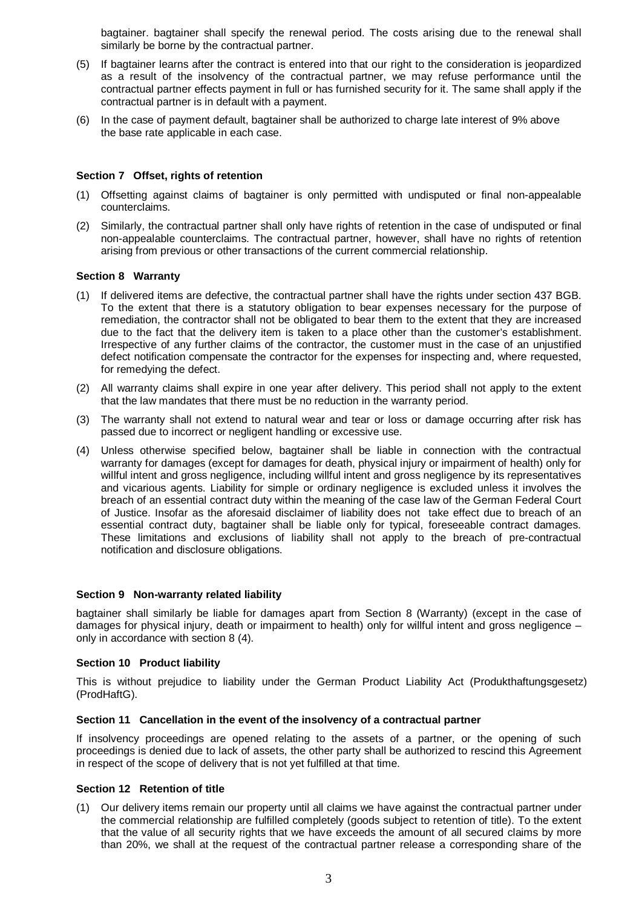bagtainer. bagtainer shall specify the renewal period. The costs arising due to the renewal shall similarly be borne by the contractual partner.

- (5) If bagtainer learns after the contract is entered into that our right to the consideration is jeopardized as a result of the insolvency of the contractual partner, we may refuse performance until the contractual partner effects payment in full or has furnished security for it. The same shall apply if the contractual partner is in default with a payment.
- (6) In the case of payment default, bagtainer shall be authorized to charge late interest of 9% above the base rate applicable in each case.

#### **Section 7 Offset, rights of retention**

- (1) Offsetting against claims of bagtainer is only permitted with undisputed or final non-appealable counterclaims.
- (2) Similarly, the contractual partner shall only have rights of retention in the case of undisputed or final non-appealable counterclaims. The contractual partner, however, shall have no rights of retention arising from previous or other transactions of the current commercial relationship.

# **Section 8 Warranty**

- (1) If delivered items are defective, the contractual partner shall have the rights under section 437 BGB. To the extent that there is a statutory obligation to bear expenses necessary for the purpose of remediation, the contractor shall not be obligated to bear them to the extent that they are increased due to the fact that the delivery item is taken to a place other than the customer's establishment. Irrespective of any further claims of the contractor, the customer must in the case of an unjustified defect notification compensate the contractor for the expenses for inspecting and, where requested, for remedying the defect.
- (2) All warranty claims shall expire in one year after delivery. This period shall not apply to the extent that the law mandates that there must be no reduction in the warranty period.
- (3) The warranty shall not extend to natural wear and tear or loss or damage occurring after risk has passed due to incorrect or negligent handling or excessive use.
- (4) Unless otherwise specified below, bagtainer shall be liable in connection with the contractual warranty for damages (except for damages for death, physical injury or impairment of health) only for willful intent and gross negligence, including willful intent and gross negligence by its representatives and vicarious agents. Liability for simple or ordinary negligence is excluded unless it involves the breach of an essential contract duty within the meaning of the case law of the German Federal Court of Justice. Insofar as the aforesaid disclaimer of liability does not take effect due to breach of an essential contract duty, bagtainer shall be liable only for typical, foreseeable contract damages. These limitations and exclusions of liability shall not apply to the breach of pre-contractual notification and disclosure obligations.

#### **Section 9 Non-warranty related liability**

bagtainer shall similarly be liable for damages apart from Section 8 (Warranty) (except in the case of damages for physical injury, death or impairment to health) only for willful intent and gross negligence – only in accordance with section 8 (4).

#### **Section 10 Product liability**

This is without prejudice to liability under the German Product Liability Act (Produkthaftungsgesetz) (ProdHaftG).

#### **Section 11 Cancellation in the event of the insolvency of a contractual partner**

If insolvency proceedings are opened relating to the assets of a partner, or the opening of such proceedings is denied due to lack of assets, the other party shall be authorized to rescind this Agreement in respect of the scope of delivery that is not yet fulfilled at that time.

#### **Section 12 Retention of title**

(1) Our delivery items remain our property until all claims we have against the contractual partner under the commercial relationship are fulfilled completely (goods subject to retention of title). To the extent that the value of all security rights that we have exceeds the amount of all secured claims by more than 20%, we shall at the request of the contractual partner release a corresponding share of the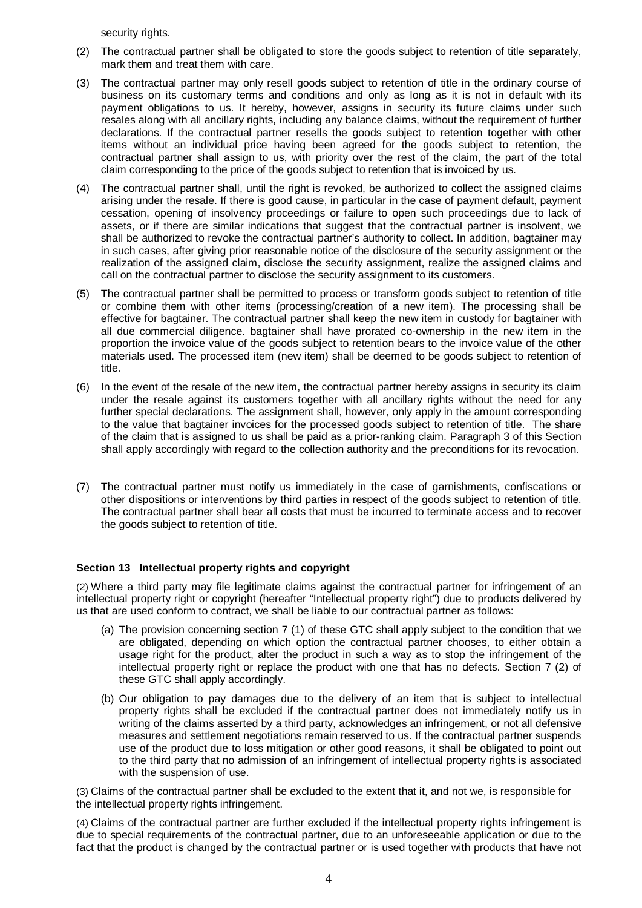security rights.

- (2) The contractual partner shall be obligated to store the goods subject to retention of title separately, mark them and treat them with care.
- (3) The contractual partner may only resell goods subject to retention of title in the ordinary course of business on its customary terms and conditions and only as long as it is not in default with its payment obligations to us. It hereby, however, assigns in security its future claims under such resales along with all ancillary rights, including any balance claims, without the requirement of further declarations. If the contractual partner resells the goods subject to retention together with other items without an individual price having been agreed for the goods subject to retention, the contractual partner shall assign to us, with priority over the rest of the claim, the part of the total claim corresponding to the price of the goods subject to retention that is invoiced by us.
- (4) The contractual partner shall, until the right is revoked, be authorized to collect the assigned claims arising under the resale. If there is good cause, in particular in the case of payment default, payment cessation, opening of insolvency proceedings or failure to open such proceedings due to lack of assets, or if there are similar indications that suggest that the contractual partner is insolvent, we shall be authorized to revoke the contractual partner's authority to collect. In addition, bagtainer may in such cases, after giving prior reasonable notice of the disclosure of the security assignment or the realization of the assigned claim, disclose the security assignment, realize the assigned claims and call on the contractual partner to disclose the security assignment to its customers.
- (5) The contractual partner shall be permitted to process or transform goods subject to retention of title or combine them with other items (processing/creation of a new item). The processing shall be effective for bagtainer. The contractual partner shall keep the new item in custody for bagtainer with all due commercial diligence. bagtainer shall have prorated co-ownership in the new item in the proportion the invoice value of the goods subject to retention bears to the invoice value of the other materials used. The processed item (new item) shall be deemed to be goods subject to retention of title.
- (6) In the event of the resale of the new item, the contractual partner hereby assigns in security its claim under the resale against its customers together with all ancillary rights without the need for any further special declarations. The assignment shall, however, only apply in the amount corresponding to the value that bagtainer invoices for the processed goods subject to retention of title. The share of the claim that is assigned to us shall be paid as a prior-ranking claim. Paragraph 3 of this Section shall apply accordingly with regard to the collection authority and the preconditions for its revocation.
- (7) The contractual partner must notify us immediately in the case of garnishments, confiscations or other dispositions or interventions by third parties in respect of the goods subject to retention of title. The contractual partner shall bear all costs that must be incurred to terminate access and to recover the goods subject to retention of title.

# **Section 13 Intellectual property rights and copyright**

(2) Where a third party may file legitimate claims against the contractual partner for infringement of an intellectual property right or copyright (hereafter "Intellectual property right") due to products delivered by us that are used conform to contract, we shall be liable to our contractual partner as follows:

- (a) The provision concerning section 7 (1) of these GTC shall apply subject to the condition that we are obligated, depending on which option the contractual partner chooses, to either obtain a usage right for the product, alter the product in such a way as to stop the infringement of the intellectual property right or replace the product with one that has no defects. Section 7 (2) of these GTC shall apply accordingly.
- (b) Our obligation to pay damages due to the delivery of an item that is subject to intellectual property rights shall be excluded if the contractual partner does not immediately notify us in writing of the claims asserted by a third party, acknowledges an infringement, or not all defensive measures and settlement negotiations remain reserved to us. If the contractual partner suspends use of the product due to loss mitigation or other good reasons, it shall be obligated to point out to the third party that no admission of an infringement of intellectual property rights is associated with the suspension of use.

(3) Claims of the contractual partner shall be excluded to the extent that it, and not we, is responsible for the intellectual property rights infringement.

(4) Claims of the contractual partner are further excluded if the intellectual property rights infringement is due to special requirements of the contractual partner, due to an unforeseeable application or due to the fact that the product is changed by the contractual partner or is used together with products that have not